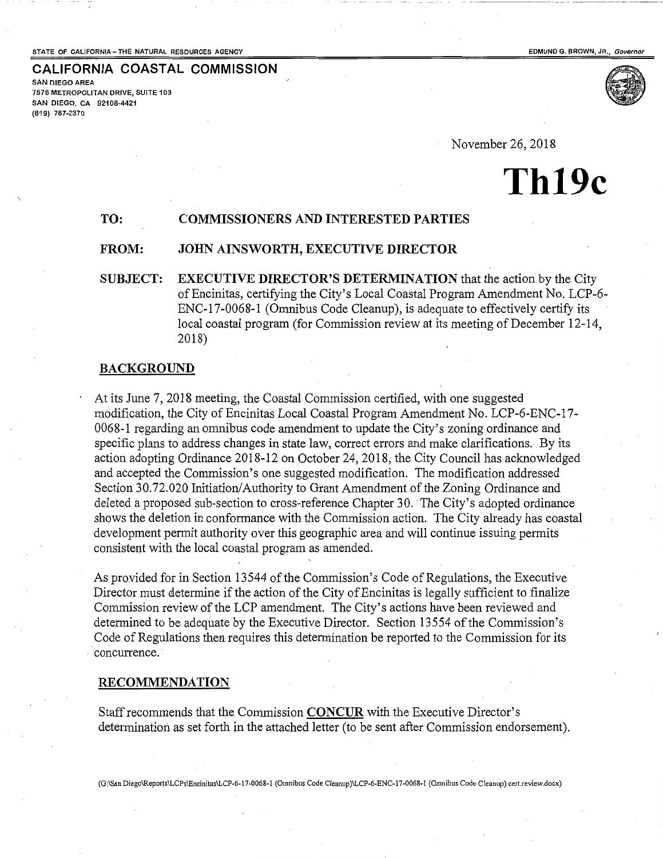#### STATE OF CALIFORNIA -- THE NATURAL RESOURCES AGENCY **And a state of the State of CALIFORNIA** -- The STATE OF CALIFORNIA -- THE NATURAL RESOURCES AGENCY

**CALIFORNIA COASTAL COMMISSION**  SAN DIEGO AREA 7575 METROPOLITAN DRIVE, SUITE 103 SAN DIEGO, CA 92108-4421 (619) 767-2370



November 26,2018

# **Th19c**

## **TO: COMMISSIONERS AND INTERESTED PARTIES**

## **FROM: JOHN AINSWORTH, EXECUTIVE DIRECTOR**

**SUBJECT: EXECUTIVE DIRECTOR'S DETERMINATION** that the action by the City of Encinitas, certifying the City's Local Coastal Program Amendment No. LCP-6- ENC-17-0068-1 (Omnibus Code Cleanup), is adequate to effectively certify its local coastal program (for Commission review at its meeting of December 12-14, 2018)

#### **BACKGROUND**

At its June 7, 2018 meeting, the Coastal Commission certified, with one suggested modification, the City of Encinitas Local Coastal Program Amendment No. LCP-6-ENC-17- 0068-1 regarding an omnibus code amendment to update the City's zoning ordinance and specific plans to address changes in state law, correct errors and make clarifications. By its action adopting Ordinance 2018-12 on October 24, 2018, the City Council has acknowledged and accepted the Commission's one suggested modification. The modification addressed Section 30.72.020 Initiation/Authority to Grant Amendment of the Zoning Ordinance and deleted a proposed sub-section to cross-reference Chapter 30. The City's adopted ordinance shows the deletion in conformance with the Commission action. The City already has coastal development permit authority over this geographic area and will continue issuing permits consistent with the local coastal program as amended.

As provided for in Section 13544 of the Commission's Code of Regulations, the Executive Director must determine if the action of the City of Encinitas is legally sufficient to finalize Commission review of the LCP amendment. The City's actions have been reviewed and determined to be adequate by the Executive Director. Section 13554 of the Commission's Code of Regulations then requires this determination be reported to the Commission for its concurrence.

## **RECOMMENDATION**

Staff recommends that the Commission **CONCUR** with the Executive Director's determination as set forth in the attached letter (to be sent after Commission endorsement).

(G:\San Diego\Reports\LCPs\Encinitas\LCP-6-17-0068-1 (Omnibus Code Cleanup)\LCP-6-ENC-17-0068-1 (Omnibus Code Cleanup) cert.review.docx)